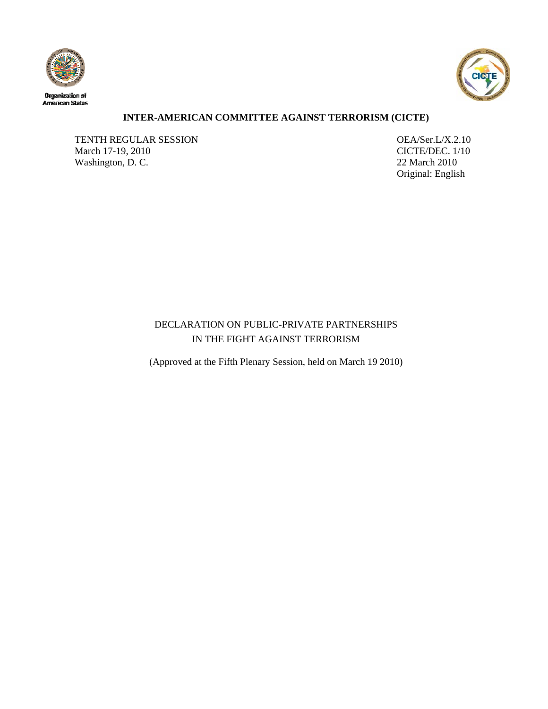



# **INTER-AMERICAN COMMITTEE AGAINST TERRORISM (CICTE)**

TENTH REGULAR SESSION<br>
March 17-19, 2010<br>
CICTE/DEC. 1/10 March 17-19, 2010 Washington, D. C. 22 March 2010

Original: English

# DECLARATION ON PUBLIC-PRIVATE PARTNERSHIPS IN THE FIGHT AGAINST TERRORISM

(Approved at the Fifth Plenary Session, held on March 19 2010)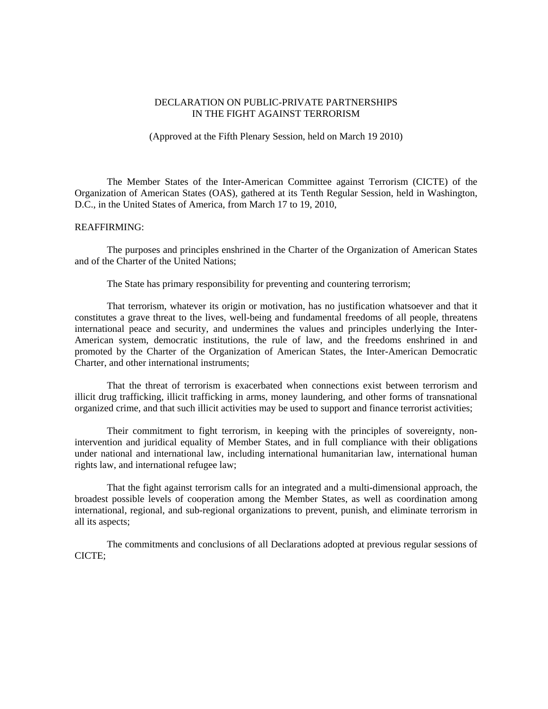## DECLARATION ON PUBLIC-PRIVATE PARTNERSHIPS IN THE FIGHT AGAINST TERRORISM

## (Approved at the Fifth Plenary Session, held on March 19 2010)

 The Member States of the Inter-American Committee against Terrorism (CICTE) of the Organization of American States (OAS), gathered at its Tenth Regular Session, held in Washington, D.C., in the United States of America, from March 17 to 19, 2010,

#### REAFFIRMING:

 The purposes and principles enshrined in the Charter of the Organization of American States and of the Charter of the United Nations;

The State has primary responsibility for preventing and countering terrorism;

 That terrorism, whatever its origin or motivation, has no justification whatsoever and that it constitutes a grave threat to the lives, well-being and fundamental freedoms of all people, threatens international peace and security, and undermines the values and principles underlying the Inter-American system, democratic institutions, the rule of law, and the freedoms enshrined in and promoted by the Charter of the Organization of American States, the Inter-American Democratic Charter, and other international instruments;

 That the threat of terrorism is exacerbated when connections exist between terrorism and illicit drug trafficking, illicit trafficking in arms, money laundering, and other forms of transnational organized crime, and that such illicit activities may be used to support and finance terrorist activities;

 Their commitment to fight terrorism, in keeping with the principles of sovereignty, nonintervention and juridical equality of Member States, and in full compliance with their obligations under national and international law, including international humanitarian law, international human rights law, and international refugee law;

 That the fight against terrorism calls for an integrated and a multi-dimensional approach, the broadest possible levels of cooperation among the Member States, as well as coordination among international, regional, and sub-regional organizations to prevent, punish, and eliminate terrorism in all its aspects;

 The commitments and conclusions of all Declarations adopted at previous regular sessions of CICTE;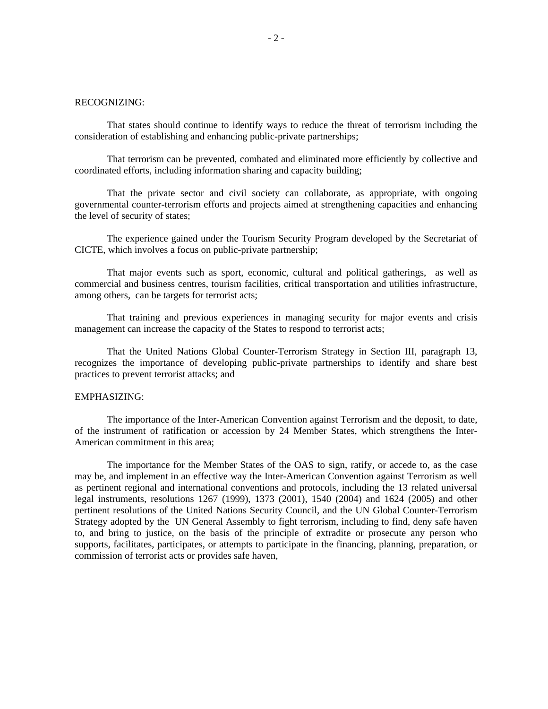#### RECOGNIZING:

 That states should continue to identify ways to reduce the threat of terrorism including the consideration of establishing and enhancing public-private partnerships;

 That terrorism can be prevented, combated and eliminated more efficiently by collective and coordinated efforts, including information sharing and capacity building;

 That the private sector and civil society can collaborate, as appropriate, with ongoing governmental counter-terrorism efforts and projects aimed at strengthening capacities and enhancing the level of security of states;

 The experience gained under the Tourism Security Program developed by the Secretariat of CICTE, which involves a focus on public-private partnership;

 That major events such as sport, economic, cultural and political gatherings, as well as commercial and business centres, tourism facilities, critical transportation and utilities infrastructure, among others, can be targets for terrorist acts;

 That training and previous experiences in managing security for major events and crisis management can increase the capacity of the States to respond to terrorist acts;

 That the United Nations Global Counter-Terrorism Strategy in Section III, paragraph 13, recognizes the importance of developing public-private partnerships to identify and share best practices to prevent terrorist attacks; and

#### EMPHASIZING:

 The importance of the Inter-American Convention against Terrorism and the deposit, to date, of the instrument of ratification or accession by 24 Member States, which strengthens the Inter-American commitment in this area;

 The importance for the Member States of the OAS to sign, ratify, or accede to, as the case may be, and implement in an effective way the Inter-American Convention against Terrorism as well as pertinent regional and international conventions and protocols, including the 13 related universal legal instruments, resolutions 1267 (1999), 1373 (2001), 1540 (2004) and 1624 (2005) and other pertinent resolutions of the United Nations Security Council, and the UN Global Counter-Terrorism Strategy adopted by the UN General Assembly to fight terrorism, including to find, deny safe haven to, and bring to justice, on the basis of the principle of extradite or prosecute any person who supports, facilitates, participates, or attempts to participate in the financing, planning, preparation, or commission of terrorist acts or provides safe haven,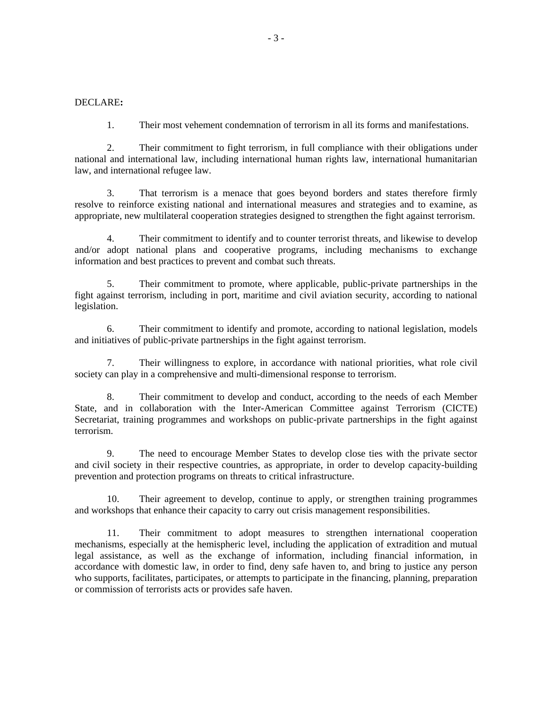### DECLARE**:**

1. Their most vehement condemnation of terrorism in all its forms and manifestations.

2. Their commitment to fight terrorism, in full compliance with their obligations under national and international law, including international human rights law, international humanitarian law, and international refugee law.

3. That terrorism is a menace that goes beyond borders and states therefore firmly resolve to reinforce existing national and international measures and strategies and to examine, as appropriate, new multilateral cooperation strategies designed to strengthen the fight against terrorism.

4. Their commitment to identify and to counter terrorist threats, and likewise to develop and/or adopt national plans and cooperative programs, including mechanisms to exchange information and best practices to prevent and combat such threats.

5. Their commitment to promote, where applicable, public-private partnerships in the fight against terrorism, including in port, maritime and civil aviation security, according to national legislation.

6. Their commitment to identify and promote, according to national legislation, models and initiatives of public-private partnerships in the fight against terrorism.

7. Their willingness to explore, in accordance with national priorities, what role civil society can play in a comprehensive and multi-dimensional response to terrorism.

8. Their commitment to develop and conduct, according to the needs of each Member State, and in collaboration with the Inter-American Committee against Terrorism (CICTE) Secretariat, training programmes and workshops on public-private partnerships in the fight against terrorism.

9. The need to encourage Member States to develop close ties with the private sector and civil society in their respective countries, as appropriate, in order to develop capacity-building prevention and protection programs on threats to critical infrastructure.

10. Their agreement to develop, continue to apply, or strengthen training programmes and workshops that enhance their capacity to carry out crisis management responsibilities.

11. Their commitment to adopt measures to strengthen international cooperation mechanisms, especially at the hemispheric level, including the application of extradition and mutual legal assistance, as well as the exchange of information, including financial information, in accordance with domestic law, in order to find, deny safe haven to, and bring to justice any person who supports, facilitates, participates, or attempts to participate in the financing, planning, preparation or commission of terrorists acts or provides safe haven.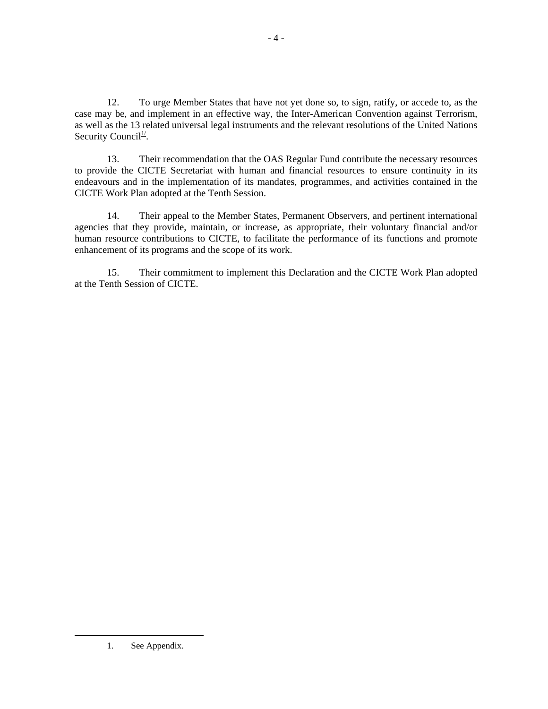12. To urge Member States that have not yet done so, to sign, ratify, or accede to, as the case may be, and implement in an effective way, the Inter-American Convention against Terrorism, as well as the 13 related universal legal instruments and the relevant resolutions of the United Nations Security Council<sup>1/1</sup>.

13. Their recommendation that the OAS Regular Fund contribute the necessary resources to provide the CICTE Secretariat with human and financial resources to ensure continuity in its endeavours and in the implementation of its mandates, programmes, and activities contained in the CICTE Work Plan adopted at the Tenth Session.

14. Their appeal to the Member States, Permanent Observers, and pertinent international agencies that they provide, maintain, or increase, as appropriate, their voluntary financial and/or human resource contributions to CICTE, to facilitate the performance of its functions and promote enhancement of its programs and the scope of its work.

15. Their commitment to implement this Declaration and the CICTE Work Plan adopted at the Tenth Session of CICTE.

 <sup>1.</sup> See Appendix.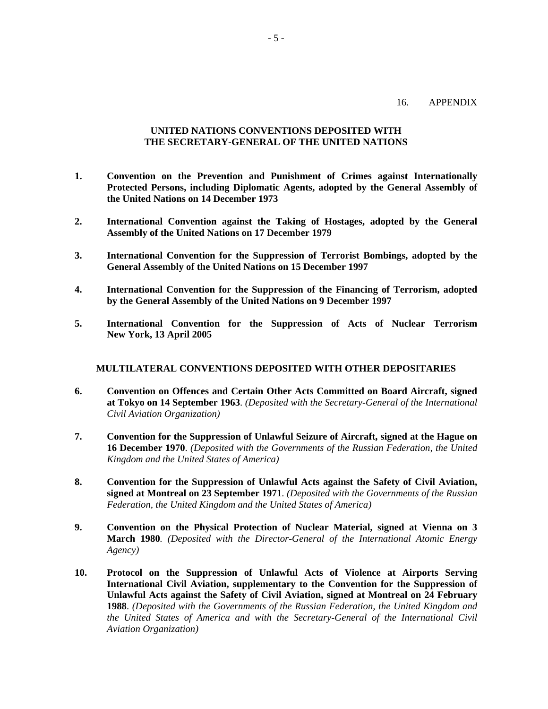## 16. APPENDIX

## **UNITED NATIONS CONVENTIONS DEPOSITED WITH THE SECRETARY-GENERAL OF THE UNITED NATIONS**

- **1. Convention on the Prevention and Punishment of Crimes against Internationally Protected Persons, including Diplomatic Agents, adopted by the General Assembly of the United Nations on 14 December 1973**
- **2. International Convention against the Taking of Hostages, adopted by the General Assembly of the United Nations on 17 December 1979**
- **3. International Convention for the Suppression of Terrorist Bombings, adopted by the General Assembly of the United Nations on 15 December 1997**
- **4. International Convention for the Suppression of the Financing of Terrorism, adopted by the General Assembly of the United Nations on 9 December 1997**
- **5. International Convention for the Suppression of Acts of Nuclear Terrorism New York, 13 April 2005**

### **MULTILATERAL CONVENTIONS DEPOSITED WITH OTHER DEPOSITARIES**

- **6. Convention on Offences and Certain Other Acts Committed on Board Aircraft, signed at Tokyo on 14 September 1963**. *(Deposited with the Secretary-General of the International Civil Aviation Organization)*
- **7. Convention for the Suppression of Unlawful Seizure of Aircraft, signed at the Hague on 16 December 1970**. *(Deposited with the Governments of the Russian Federation, the United Kingdom and the United States of America)*
- **8. Convention for the Suppression of Unlawful Acts against the Safety of Civil Aviation, signed at Montreal on 23 September 1971**. *(Deposited with the Governments of the Russian Federation, the United Kingdom and the United States of America)*
- **9. Convention on the Physical Protection of Nuclear Material, signed at Vienna on 3 March 1980***. (Deposited with the Director-General of the International Atomic Energy Agency)*
- **10. Protocol on the Suppression of Unlawful Acts of Violence at Airports Serving International Civil Aviation, supplementary to the Convention for the Suppression of Unlawful Acts against the Safety of Civil Aviation, signed at Montreal on 24 February 1988**. *(Deposited with the Governments of the Russian Federation, the United Kingdom and the United States of America and with the Secretary-General of the International Civil Aviation Organization)*